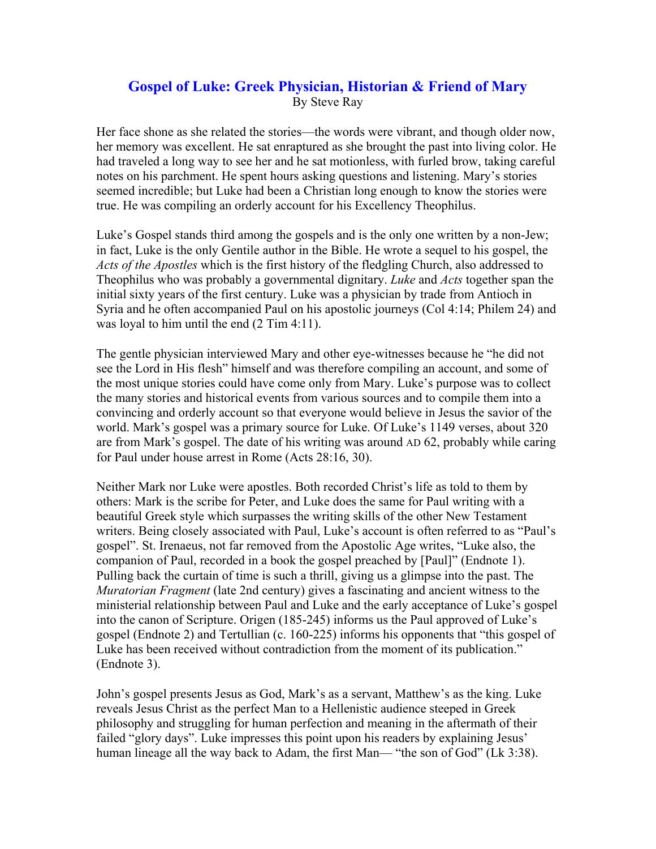## **Gospel of Luke: Greek Physician, Historian & Friend of Mary**  By Steve Ray

Her face shone as she related the stories—the words were vibrant, and though older now, her memory was excellent. He sat enraptured as she brought the past into living color. He had traveled a long way to see her and he sat motionless, with furled brow, taking careful notes on his parchment. He spent hours asking questions and listening. Mary's stories seemed incredible; but Luke had been a Christian long enough to know the stories were true. He was compiling an orderly account for his Excellency Theophilus.

Luke's Gospel stands third among the gospels and is the only one written by a non-Jew; in fact, Luke is the only Gentile author in the Bible. He wrote a sequel to his gospel, the *Acts of the Apostles* which is the first history of the fledgling Church, also addressed to Theophilus who was probably a governmental dignitary. *Luke* and *Acts* together span the initial sixty years of the first century. Luke was a physician by trade from Antioch in Syria and he often accompanied Paul on his apostolic journeys (Col 4:14; Philem 24) and was loyal to him until the end  $(2 \text{ Tim } 4:11)$ .

The gentle physician interviewed Mary and other eye-witnesses because he "he did not see the Lord in His flesh" himself and was therefore compiling an account, and some of the most unique stories could have come only from Mary. Luke's purpose was to collect the many stories and historical events from various sources and to compile them into a convincing and orderly account so that everyone would believe in Jesus the savior of the world. Mark's gospel was a primary source for Luke. Of Luke's 1149 verses, about 320 are from Mark's gospel. The date of his writing was around AD 62, probably while caring for Paul under house arrest in Rome (Acts 28:16, 30).

Neither Mark nor Luke were apostles. Both recorded Christ's life as told to them by others: Mark is the scribe for Peter, and Luke does the same for Paul writing with a beautiful Greek style which surpasses the writing skills of the other New Testament writers. Being closely associated with Paul, Luke's account is often referred to as "Paul's gospel". St. Irenaeus, not far removed from the Apostolic Age writes, "Luke also, the companion of Paul, recorded in a book the gospel preached by [Paul]" (Endnote 1). Pulling back the curtain of time is such a thrill, giving us a glimpse into the past. The *Muratorian Fragment* (late 2nd century) gives a fascinating and ancient witness to the ministerial relationship between Paul and Luke and the early acceptance of Luke's gospel into the canon of Scripture. Origen (185-245) informs us the Paul approved of Luke's gospel (Endnote 2) and Tertullian (c. 160-225) informs his opponents that "this gospel of Luke has been received without contradiction from the moment of its publication." (Endnote 3).

John's gospel presents Jesus as God, Mark's as a servant, Matthew's as the king. Luke reveals Jesus Christ as the perfect Man to a Hellenistic audience steeped in Greek philosophy and struggling for human perfection and meaning in the aftermath of their failed "glory days". Luke impresses this point upon his readers by explaining Jesus' human lineage all the way back to Adam, the first Man— "the son of God" (Lk 3:38).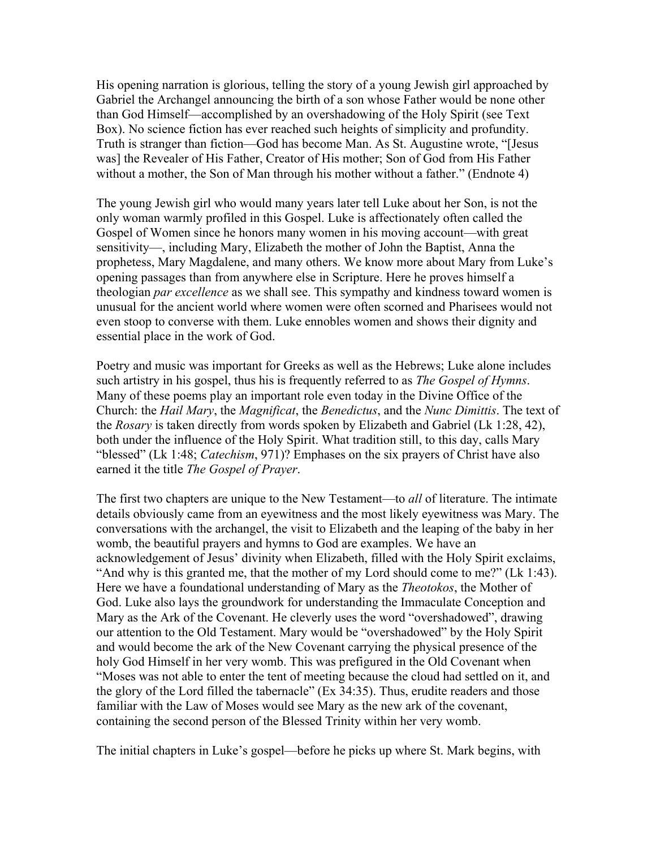His opening narration is glorious, telling the story of a young Jewish girl approached by Gabriel the Archangel announcing the birth of a son whose Father would be none other than God Himself—accomplished by an overshadowing of the Holy Spirit (see Text Box). No science fiction has ever reached such heights of simplicity and profundity. Truth is stranger than fiction—God has become Man. As St. Augustine wrote, "[Jesus was] the Revealer of His Father, Creator of His mother; Son of God from His Father without a mother, the Son of Man through his mother without a father." (Endnote 4)

The young Jewish girl who would many years later tell Luke about her Son, is not the only woman warmly profiled in this Gospel. Luke is affectionately often called the Gospel of Women since he honors many women in his moving account—with great sensitivity—, including Mary, Elizabeth the mother of John the Baptist, Anna the prophetess, Mary Magdalene, and many others. We know more about Mary from Luke's opening passages than from anywhere else in Scripture. Here he proves himself a theologian *par excellence* as we shall see. This sympathy and kindness toward women is unusual for the ancient world where women were often scorned and Pharisees would not even stoop to converse with them. Luke ennobles women and shows their dignity and essential place in the work of God.

Poetry and music was important for Greeks as well as the Hebrews; Luke alone includes such artistry in his gospel, thus his is frequently referred to as *The Gospel of Hymns*. Many of these poems play an important role even today in the Divine Office of the Church: the *Hail Mary*, the *Magnificat*, the *Benedictus*, and the *Nunc Dimittis*. The text of the *Rosary* is taken directly from words spoken by Elizabeth and Gabriel (Lk 1:28, 42), both under the influence of the Holy Spirit. What tradition still, to this day, calls Mary "blessed" (Lk 1:48; *Catechism*, 971)? Emphases on the six prayers of Christ have also earned it the title *The Gospel of Prayer*.

The first two chapters are unique to the New Testament—to *all* of literature. The intimate details obviously came from an eyewitness and the most likely eyewitness was Mary. The conversations with the archangel, the visit to Elizabeth and the leaping of the baby in her womb, the beautiful prayers and hymns to God are examples. We have an acknowledgement of Jesus' divinity when Elizabeth, filled with the Holy Spirit exclaims, "And why is this granted me, that the mother of my Lord should come to me?" (Lk 1:43). Here we have a foundational understanding of Mary as the *Theotokos*, the Mother of God. Luke also lays the groundwork for understanding the Immaculate Conception and Mary as the Ark of the Covenant. He cleverly uses the word "overshadowed", drawing our attention to the Old Testament. Mary would be "overshadowed" by the Holy Spirit and would become the ark of the New Covenant carrying the physical presence of the holy God Himself in her very womb. This was prefigured in the Old Covenant when "Moses was not able to enter the tent of meeting because the cloud had settled on it, and the glory of the Lord filled the tabernacle" (Ex 34:35). Thus, erudite readers and those familiar with the Law of Moses would see Mary as the new ark of the covenant, containing the second person of the Blessed Trinity within her very womb.

The initial chapters in Luke's gospel—before he picks up where St. Mark begins, with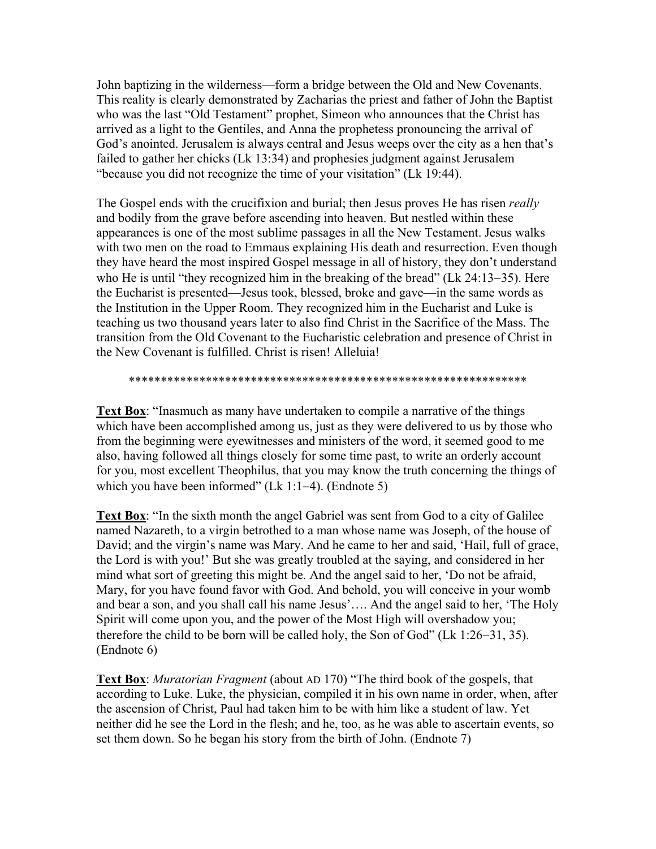John baptizing in the wilderness—form a bridge between the Old and New Covenants. This reality is clearly demonstrated by Zacharias the priest and father of John the Baptist who was the last "Old Testament" prophet, Simeon who announces that the Christ has arrived as a light to the Gentiles, and Anna the prophetess pronouncing the arrival of God's anointed. Jerusalem is always central and Jesus weeps over the city as a hen that's failed to gather her chicks (Lk 13:34) and prophesies judgment against Jerusalem "because you did not recognize the time of your visitation" (Lk 19:44).

The Gospel ends with the crucifixion and burial; then Jesus proves He has risen *really* and bodily from the grave before ascending into heaven. But nestled within these appearances is one of the most sublime passages in all the New Testament. Jesus walks with two men on the road to Emmaus explaining His death and resurrection. Even though they have heard the most inspired Gospel message in all of history, they don't understand who He is until "they recognized him in the breaking of the bread" (Lk 24:13−35). Here the Eucharist is presented—Jesus took, blessed, broke and gave—in the same words as the Institution in the Upper Room. They recognized him in the Eucharist and Luke is teaching us two thousand years later to also find Christ in the Sacrifice of the Mass. The transition from the Old Covenant to the Eucharistic celebration and presence of Christ in the New Covenant is fulfilled. Christ is risen! Alleluia!

## \*\*\*\*\*\*\*\*\*\*\*\*\*\*\*\*\*\*\*\*\*\*\*\*\*\*\*\*\*\*\*\*\*\*\*\*\*\*\*\*\*\*\*\*\*\*\*\*\*\*\*\*\*\*\*\*\*\*\*\*\*\*

**Text Box**: "Inasmuch as many have undertaken to compile a narrative of the things which have been accomplished among us, just as they were delivered to us by those who from the beginning were eyewitnesses and ministers of the word, it seemed good to me also, having followed all things closely for some time past, to write an orderly account for you, most excellent Theophilus, that you may know the truth concerning the things of which you have been informed" (Lk 1:1−4). (Endnote 5)

**Text Box**: "In the sixth month the angel Gabriel was sent from God to a city of Galilee named Nazareth, to a virgin betrothed to a man whose name was Joseph, of the house of David; and the virgin's name was Mary. And he came to her and said, 'Hail, full of grace, the Lord is with you!' But she was greatly troubled at the saying, and considered in her mind what sort of greeting this might be. And the angel said to her, 'Do not be afraid, Mary, for you have found favor with God. And behold, you will conceive in your womb and bear a son, and you shall call his name Jesus'…. And the angel said to her, 'The Holy Spirit will come upon you, and the power of the Most High will overshadow you; therefore the child to be born will be called holy, the Son of God" (Lk 1:26−31, 35). (Endnote 6)

**Text Box**: *Muratorian Fragment* (about AD 170) "The third book of the gospels, that according to Luke. Luke, the physician, compiled it in his own name in order, when, after the ascension of Christ, Paul had taken him to be with him like a student of law. Yet neither did he see the Lord in the flesh; and he, too, as he was able to ascertain events, so set them down. So he began his story from the birth of John. (Endnote 7)